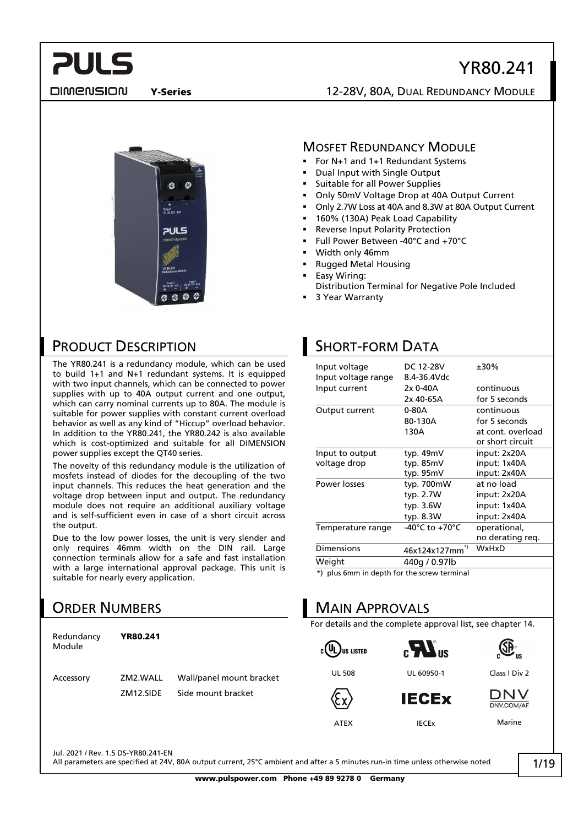## YR80.241

DIMENSION

**PULS** 

#### Y-Series 12-28V, 80A, DUAL REDUNDANCY MODULE



## MOSFET REDUNDANCY MODULE

- For N+1 and 1+1 Redundant Systems
- Dual Input with Single Output
- Suitable for all Power Supplies
- Only 50mV Voltage Drop at 40A Output Current
- Only 2.7W Loss at 40A and 8.3W at 80A Output Current
- 160% (130A) Peak Load Capability
- Reverse Input Polarity Protection
- Full Power Between -40°C and +70°C
- Width only 46mm
- Rugged Metal Housing
- Easy Wiring:
- Distribution Terminal for Negative Pole Included
- 3 Year Warranty

## PRODUCT DESCRIPTION

The YR80.241 is a redundancy module, which can be used to build 1+1 and N+1 redundant systems. It is equipped with two input channels, which can be connected to power supplies with up to 40A output current and one output, which can carry nominal currents up to 80A. The module is suitable for power supplies with constant current overload behavior as well as any kind of "Hiccup" overload behavior. In addition to the YR80.241, the YR80.242 is also available which is cost-optimized and suitable for all DIMENSION power supplies except the QT40 series.

The novelty of this redundancy module is the utilization of mosfets instead of diodes for the decoupling of the two input channels. This reduces the heat generation and the voltage drop between input and output. The redundancy module does not require an additional auxiliary voltage and is self-sufficient even in case of a short circuit across the output.

Due to the low power losses, the unit is very slender and only requires 46mm width on the DIN rail. Large connection terminals allow for a safe and fast installation with a large international approval package. This unit is suitable for nearly every application.

## ORDER NUMBERS

| Redundancy<br>Module | YR80.241              |                                                |
|----------------------|-----------------------|------------------------------------------------|
| Accessory            | ZM2.WALL<br>7M12.SIDE | Wall/panel mount bracket<br>Side mount bracket |
|                      |                       |                                                |

## SHORT-FORM DATA

| Input voltage                                       | DC 12-28V                            | $±30\%$           |
|-----------------------------------------------------|--------------------------------------|-------------------|
| Input voltage range                                 | 8.4-36.4Vdc                          |                   |
| Input current                                       | 2x 0-40A                             | continuous        |
|                                                     | 2x 40-65A                            | for 5 seconds     |
| Output current                                      | 0-80A                                | continuous        |
|                                                     | 80-130A                              | for 5 seconds     |
|                                                     | 130A                                 | at cont. overload |
|                                                     |                                      | or short circuit  |
| Input to output                                     | typ. 49mV                            | input: 2x20A      |
| voltage drop                                        | typ. 85mV                            | input: 1x40A      |
|                                                     | typ. 95mV                            | input: 2x40A      |
| Power losses                                        | typ. 700mW                           | at no load        |
|                                                     | typ. 2.7W                            | input: 2x20A      |
|                                                     | typ. 3.6W                            | input: 1x40A      |
|                                                     | typ. 8.3W                            | input: 2x40A      |
| Temperature range                                   | -40 $^{\circ}$ C to +70 $^{\circ}$ C | operational,      |
|                                                     |                                      | no derating reg.  |
| Dimensions                                          | *)<br>46x124x127mm                   | WxHxD             |
| Weight                                              | 440g / 0.97lb                        |                   |
| $\star$ ) plus Cmm in donth for the cereus torminal |                                      |                   |

 $\mathfrak k$ ) plus 6mm in depth for the screw terminal

## MAIN APPROVALS

For details and the complete approval list, see chapter [14.](#page-12-0)

 $c(U_L)$ us Listed







UL 508 UL 60950-1 Class I Div 2





ATEX IECEx Marine

Jul. 2021 / Rev. 1.5 DS-YR80.241-EN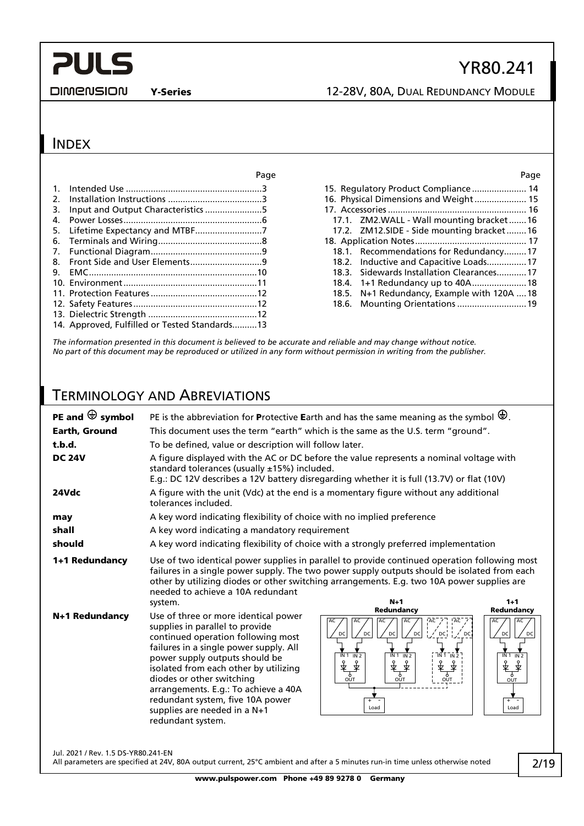**DIMENSION** 

Y-Series 12-28V, 80A, DUAL REDUNDANCY MODULE

### INDEX

|                                               | ray |
|-----------------------------------------------|-----|
|                                               |     |
|                                               |     |
|                                               |     |
|                                               |     |
|                                               |     |
|                                               |     |
|                                               |     |
|                                               |     |
|                                               |     |
|                                               |     |
|                                               |     |
|                                               |     |
|                                               |     |
| 14. Approved, Fulfilled or Tested Standards13 |     |
|                                               |     |

#### Page Page

YR80.241

| 15. Regulatory Product Compliance 14        |
|---------------------------------------------|
| 16. Physical Dimensions and Weight 15       |
|                                             |
| 17.1. ZM2.WALL - Wall mounting bracket16    |
| 17.2. ZM12.SIDE - Side mounting bracket16   |
|                                             |
| 18.1. Recommendations for Redundancy17      |
| 18.2. Inductive and Capacitive Loads17      |
| 18.3. Sidewards Installation Clearances17   |
|                                             |
| 18.5. N+1 Redundancy, Example with 120A  18 |
|                                             |
|                                             |

*The information presented in this document is believed to be accurate and reliable and may change without notice. No part of this document may be reproduced or utilized in any form without permission in writing from the publisher.*

## TERMINOLOGY AND ABREVIATIONS

| PE and $\bigoplus$ symbol           |                                                                                                                                                                                                                                                                                                                                                                                                  | PE is the abbreviation for Protective Earth and has the same meaning as the symbol $\bigoplus$ .                                                                                                                                                                                                     |                                                                                                                |
|-------------------------------------|--------------------------------------------------------------------------------------------------------------------------------------------------------------------------------------------------------------------------------------------------------------------------------------------------------------------------------------------------------------------------------------------------|------------------------------------------------------------------------------------------------------------------------------------------------------------------------------------------------------------------------------------------------------------------------------------------------------|----------------------------------------------------------------------------------------------------------------|
| <b>Earth, Ground</b>                |                                                                                                                                                                                                                                                                                                                                                                                                  | This document uses the term "earth" which is the same as the U.S. term "ground".                                                                                                                                                                                                                     |                                                                                                                |
| t.b.d.                              | To be defined, value or description will follow later.                                                                                                                                                                                                                                                                                                                                           |                                                                                                                                                                                                                                                                                                      |                                                                                                                |
| <b>DC 24V</b>                       | standard tolerances (usually ±15%) included.                                                                                                                                                                                                                                                                                                                                                     | A figure displayed with the AC or DC before the value represents a nominal voltage with<br>E.g.: DC 12V describes a 12V battery disregarding whether it is full (13.7V) or flat (10V)                                                                                                                |                                                                                                                |
| 24Vdc                               | tolerances included.                                                                                                                                                                                                                                                                                                                                                                             | A figure with the unit (Vdc) at the end is a momentary figure without any additional                                                                                                                                                                                                                 |                                                                                                                |
| may                                 | A key word indicating flexibility of choice with no implied preference                                                                                                                                                                                                                                                                                                                           |                                                                                                                                                                                                                                                                                                      |                                                                                                                |
| shall                               | A key word indicating a mandatory requirement                                                                                                                                                                                                                                                                                                                                                    |                                                                                                                                                                                                                                                                                                      |                                                                                                                |
| should                              |                                                                                                                                                                                                                                                                                                                                                                                                  | A key word indicating flexibility of choice with a strongly preferred implementation                                                                                                                                                                                                                 |                                                                                                                |
| 1+1 Redundancy                      | needed to achieve a 10A redundant<br>system.                                                                                                                                                                                                                                                                                                                                                     | Use of two identical power supplies in parallel to provide continued operation following most<br>failures in a single power supply. The two power supply outputs should be isolated from each<br>other by utilizing diodes or other switching arrangements. E.g. two 10A power supplies are<br>$N+1$ | $1 + 1$                                                                                                        |
| N+1 Redundancy                      | Use of three or more identical power<br>supplies in parallel to provide<br>continued operation following most<br>failures in a single power supply. All<br>power supply outputs should be<br>isolated from each other by utilizing<br>diodes or other switching<br>arrangements. E.g.: To achieve a 40A<br>redundant system, five 10A power<br>supplies are needed in a N+1<br>redundant system. | Redundancy<br>!Āc<br>AC<br>AC<br>AC<br>AC<br>DC<br>DC<br>DC<br>DC<br>DC<br>$\sim$ DC<br>$\overline{1}$ ר ז $\overline{1}$ דו $\overline{2}$<br>$\overline{IN}2$<br>$\overline{IN1}$<br>IN 1 IN 2<br>专事<br>ิััััั<br>文本<br>↨<br>ᡒ<br>Τ<br><sup>9</sup><br>OUT<br>OUT<br>OUT<br>÷<br>Load              | Redundancy<br>AC<br>AC<br>DC<br>DC<br>$\overline{IN}$ 1 $\overline{IN}$ 2<br>के कै<br>रु<br>OUT<br>$+$<br>Load |
| Jul. 2021 / Rev. 1.5 DS-YR80.241-EN |                                                                                                                                                                                                                                                                                                                                                                                                  |                                                                                                                                                                                                                                                                                                      |                                                                                                                |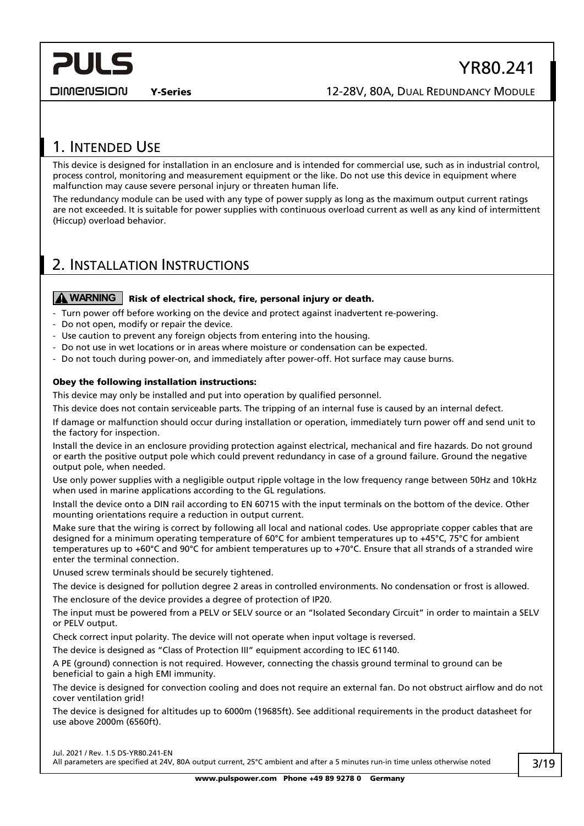#### DIMENSION

## YR80.241

Y-Series 12-28V, 80A, DUAL REDUNDANCY MODULE

## <span id="page-2-0"></span>1. INTENDED USE

This device is designed for installation in an enclosure and is intended for commercial use, such as in industrial control, process control, monitoring and measurement equipment or the like. Do not use this device in equipment where malfunction may cause severe personal injury or threaten human life.

The redundancy module can be used with any type of power supply as long as the maximum output current ratings are not exceeded. It is suitable for power supplies with continuous overload current as well as any kind of intermittent (Hiccup) overload behavior.

## <span id="page-2-1"></span>2. INSTALLATION INSTRUCTIONS

#### **A** WARNING | Risk of electrical shock, fire, personal injury or death.

- Turn power off before working on the device and protect against inadvertent re-powering.
- Do not open, modify or repair the device.
- Use caution to prevent any foreign objects from entering into the housing.
- Do not use in wet locations or in areas where moisture or condensation can be expected.
- Do not touch during power-on, and immediately after power-off. Hot surface may cause burns.

#### Obey the following installation instructions:

This device may only be installed and put into operation by qualified personnel.

This device does not contain serviceable parts. The tripping of an internal fuse is caused by an internal defect.

If damage or malfunction should occur during installation or operation, immediately turn power off and send unit to the factory for inspection.

Install the device in an enclosure providing protection against electrical, mechanical and fire hazards. Do not ground or earth the positive output pole which could prevent redundancy in case of a ground failure. Ground the negative output pole, when needed.

Use only power supplies with a negligible output ripple voltage in the low frequency range between 50Hz and 10kHz when used in marine applications according to the GL regulations.

Install the device onto a DIN rail according to EN 60715 with the input terminals on the bottom of the device. Other mounting orientations require a reduction in output current.

Make sure that the wiring is correct by following all local and national codes. Use appropriate copper cables that are designed for a minimum operating temperature of 60°C for ambient temperatures up to +45°C, 75°C for ambient temperatures up to +60°C and 90°C for ambient temperatures up to +70°C. Ensure that all strands of a stranded wire enter the terminal connection.

Unused screw terminals should be securely tightened.

The device is designed for pollution degree 2 areas in controlled environments. No condensation or frost is allowed. The enclosure of the device provides a degree of protection of IP20.

The input must be powered from a PELV or SELV source or an "Isolated Secondary Circuit" in order to maintain a SELV or PELV output.

Check correct input polarity. The device will not operate when input voltage is reversed.

The device is designed as "Class of Protection III" equipment according to IEC 61140.

A PE (ground) connection is not required. However, connecting the chassis ground terminal to ground can be beneficial to gain a high EMI immunity.

The device is designed for convection cooling and does not require an external fan. Do not obstruct airflow and do not cover ventilation grid!

The device is designed for altitudes up to 6000m (19685ft). See additional requirements in the product datasheet for use above 2000m (6560ft).

Jul. 2021 / Rev. 1.5 DS-YR80.241-EN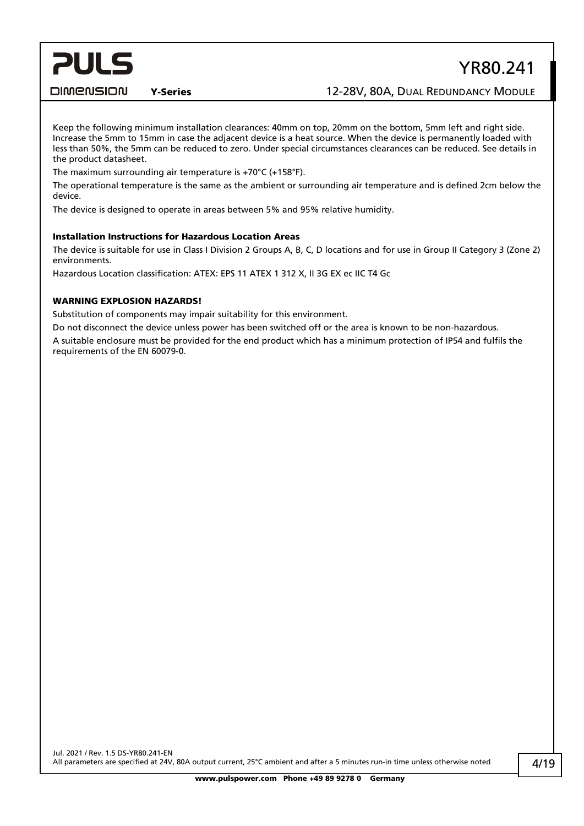## YR80.241

**DIMENSION** 

Y-Series 12-28V, 80A, DUAL REDUNDANCY MODULE

Keep the following minimum installation clearances: 40mm on top, 20mm on the bottom, 5mm left and right side. Increase the 5mm to 15mm in case the adjacent device is a heat source. When the device is permanently loaded with less than 50%, the 5mm can be reduced to zero. Under special circumstances clearances can be reduced. See details in the product datasheet.

The maximum surrounding air temperature is +70°C (+158°F).

The operational temperature is the same as the ambient or surrounding air temperature and is defined 2cm below the device.

The device is designed to operate in areas between 5% and 95% relative humidity.

#### Installation Instructions for Hazardous Location Areas

The device is suitable for use in Class I Division 2 Groups A, B, C, D locations and for use in Group II Category 3 (Zone 2) environments.

Hazardous Location classification: ATEX: EPS 11 ATEX 1 312 X, II 3G EX ec IIC T4 Gc

#### WARNING EXPLOSION HAZARDS!

Substitution of components may impair suitability for this environment.

Do not disconnect the device unless power has been switched off or the area is known to be non-hazardous. A suitable enclosure must be provided for the end product which has a minimum protection of IP54 and fulfils the requirements of the EN 60079-0.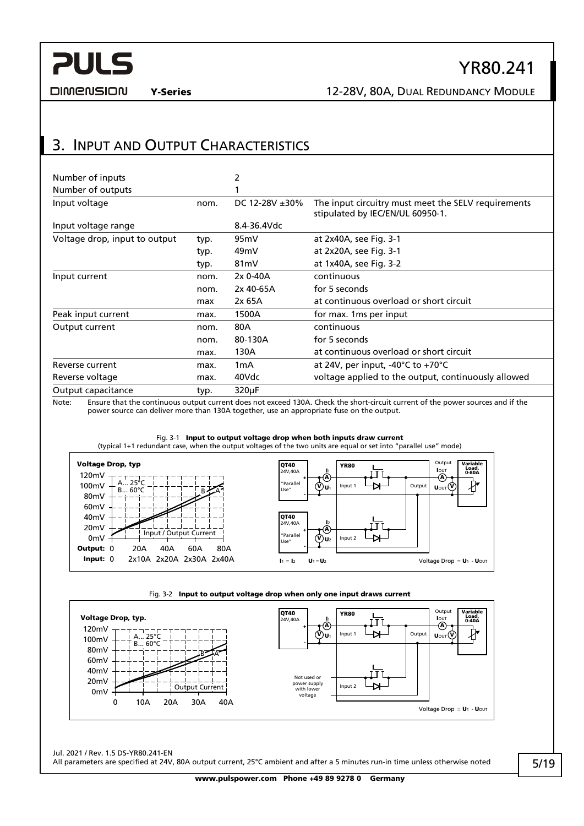

## YR80.241

**DIMENSION** 

Y-Series 12-28V, 80A, DUAL REDUNDANCY MODULE

## <span id="page-4-0"></span>3. INPUT AND OUTPUT CHARACTERISTICS

| Number of inputs              |      | 2                    |                                                                                         |
|-------------------------------|------|----------------------|-----------------------------------------------------------------------------------------|
| Number of outputs             |      |                      |                                                                                         |
| Input voltage                 | nom. | DC 12-28V $\pm 30\%$ | The input circuitry must meet the SELV requirements<br>stipulated by IEC/EN/UL 60950-1. |
| Input voltage range           |      | 8.4-36.4Vdc          |                                                                                         |
| Voltage drop, input to output | typ. | 95 <sub>m</sub> V    | at 2x40A, see Fig. 3-1                                                                  |
|                               | typ. | 49 <sub>m</sub> V    | at 2x20A, see Fig. 3-1                                                                  |
|                               | typ. | 81 <sub>m</sub> V    | at 1x40A, see Fig. 3-2                                                                  |
| Input current                 | nom. | 2x 0-40A             | continuous                                                                              |
|                               | nom. | 2x 40-65A            | for 5 seconds                                                                           |
|                               | max  | 2x 65A               | at continuous overload or short circuit                                                 |
| Peak input current            | max. | 1500A                | for max. 1 ms per input                                                                 |
| Output current                | nom. | 80A                  | continuous                                                                              |
|                               | nom. | 80-130A              | for 5 seconds                                                                           |
|                               | max. | 130A                 | at continuous overload or short circuit                                                 |
| Reverse current               | max. | 1 <sub>m</sub> A     | at 24V, per input, -40 $^{\circ}$ C to +70 $^{\circ}$ C                                 |
| Reverse voltage               | max. | 40Vdc                | voltage applied to the output, continuously allowed                                     |
| Output capacitance            | typ. | $320\mu F$           |                                                                                         |

Note: Ensure that the continuous output current does not exceed 130A. Check the short-circuit current of the power sources and if the power source can deliver more than 130A together, use an appropriate fuse on the output.

<span id="page-4-1"></span>



<span id="page-4-2"></span>

Jul. 2021 / Rev. 1.5 DS-YR80.241-EN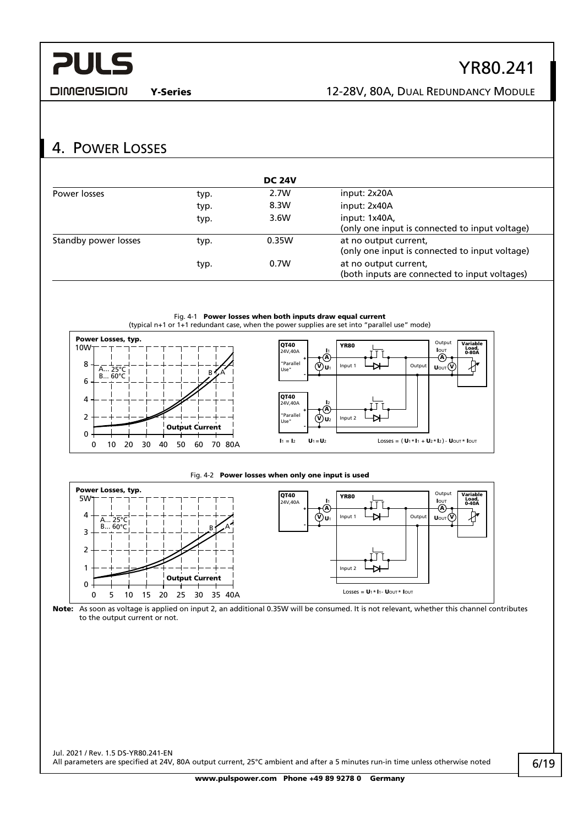**DIMENSION** 

## YR80.241

Y-Series 12-28V, 80A, DUAL REDUNDANCY MODULE

## <span id="page-5-0"></span>4. POWER LOSSES

|                      |      | <b>DC 24V</b> |                                                                         |
|----------------------|------|---------------|-------------------------------------------------------------------------|
| Power losses         | typ. | 2.7W          | input: 2x20A                                                            |
|                      | typ. | 8.3W          | input: 2x40A                                                            |
|                      | typ. | 3.6W          | input: 1x40A,<br>(only one input is connected to input voltage)         |
| Standby power losses | typ. | 0.35W         | at no output current,<br>(only one input is connected to input voltage) |
|                      | typ. | 0.7W          | at no output current,<br>(both inputs are connected to input voltages)  |



#### Fig. 4-2 Power losses when only one input is used



Note: As soon as voltage is applied on input 2, an additional 0.35W will be consumed. It is not relevant, whether this channel contributes to the output current or not.

Jul. 2021 / Rev. 1.5 DS-YR80.241-EN All parameters are specified at 24V, 80A output current, 25°C ambient and after a 5 minutes run-in time unless otherwise noted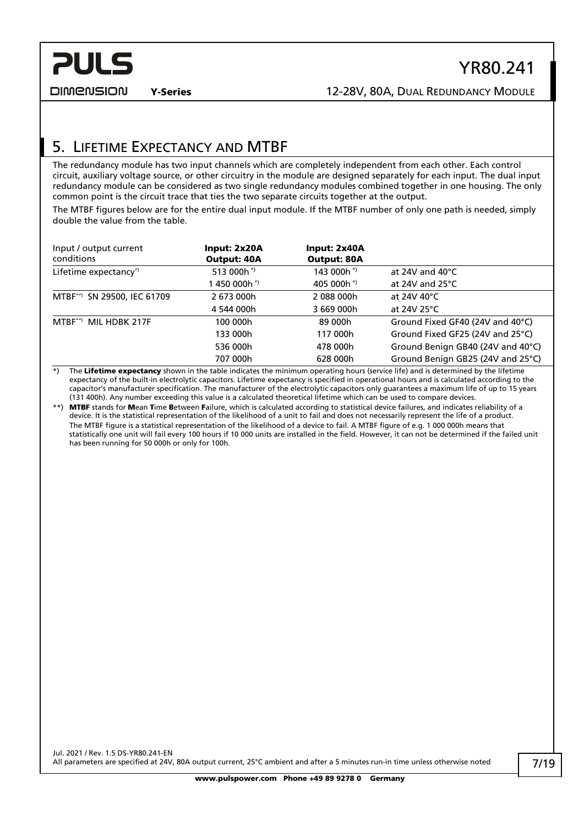DIMENSION

## <span id="page-6-0"></span>5. LIFETIME EXPECTANCY AND MTBF

The redundancy module has two input channels which are completely independent from each other. Each control circuit, auxiliary voltage source, or other circuitry in the module are designed separately for each input. The dual input redundancy module can be considered as two single redundancy modules combined together in one housing. The only common point is the circuit trace that ties the two separate circuits together at the output.

The MTBF figures below are for the entire dual input module. If the MTBF number of only one path is needed, simply double the value from the table.

| Input / output current<br>conditions | Input: 2x20A<br>Output: 40A | Input: 2x40A<br><b>Output: 80A</b> |                                   |
|--------------------------------------|-----------------------------|------------------------------------|-----------------------------------|
| Lifetime expectancy*)                | 513 000h $*$                | 143 000h*)                         | at 24V and $40^{\circ}$ C         |
|                                      | 1 450 000h * <sup>)</sup>   | 405 000h <sup>*</sup>              | at 24V and $25^{\circ}$ C         |
| MTBF**) SN 29500, IEC 61709          | 2 673 000h                  | 2088000h                           | at 24V 40°C                       |
|                                      | 4 544 000h                  | 3 669 000h                         | at 24V 25°C                       |
| MIL HDBK 217F<br>$MTBF^{**}$         | 100 000h                    | 89 000h                            | Ground Fixed GF40 (24V and 40°C)  |
|                                      | 133 000h                    | 117 000h                           | Ground Fixed GF25 (24V and 25°C)  |
|                                      | 536 000h                    | 478 000h                           | Ground Benign GB40 (24V and 40°C) |
|                                      | 707 000h                    | 628 000h                           | Ground Benign GB25 (24V and 25°C) |

\*) The Lifetime expectancy shown in the table indicates the minimum operating hours (service life) and is determined by the lifetime expectancy of the built-in electrolytic capacitors. Lifetime expectancy is specified in operational hours and is calculated according to the capacitor's manufacturer specification. The manufacturer of the electrolytic capacitors only guarantees a maximum life of up to 15 years (131 400h). Any number exceeding this value is a calculated theoretical lifetime which can be used to compare devices.

\*\*) MTBF stands for Mean Time Between Failure, which is calculated according to statistical device failures, and indicates reliability of a device. It is the statistical representation of the likelihood of a unit to fail and does not necessarily represent the life of a product. The MTBF figure is a statistical representation of the likelihood of a device to fail. A MTBF figure of e.g. 1 000 000h means that statistically one unit will fail every 100 hours if 10 000 units are installed in the field. However, it can not be determined if the failed unit has been running for 50 000h or only for 100h.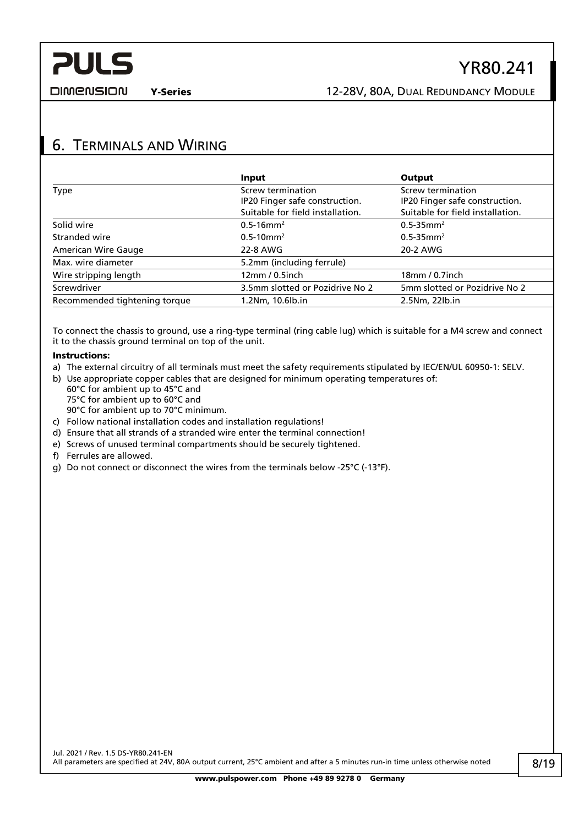**DIMENSION** 

## <span id="page-7-0"></span>6. TERMINALS AND WIRING

|                               | Input                            | Output                           |
|-------------------------------|----------------------------------|----------------------------------|
| <b>Type</b>                   | Screw termination                | Screw termination                |
|                               | IP20 Finger safe construction.   | IP20 Finger safe construction.   |
|                               | Suitable for field installation. | Suitable for field installation. |
| Solid wire                    | $0.5 - 16$ mm <sup>2</sup>       | $0.5 - 35$ mm <sup>2</sup>       |
| Stranded wire                 | $0.5 - 10$ mm <sup>2</sup>       | $0.5 - 35$ mm <sup>2</sup>       |
| <b>American Wire Gauge</b>    | 22-8 AWG                         | 20-2 AWG                         |
| Max. wire diameter            | 5.2mm (including ferrule)        |                                  |
| Wire stripping length         | $12$ mm / 0.5inch                | 18mm / 0.7inch                   |
| Screwdriver                   | 3.5mm slotted or Pozidrive No 2  | 5mm slotted or Pozidrive No 2    |
| Recommended tightening torque | 1.2Nm, 10.6lb.in                 | 2.5Nm, 22lb.in                   |

To connect the chassis to ground, use a ring-type terminal (ring cable lug) which is suitable for a M4 screw and connect it to the chassis ground terminal on top of the unit.

#### Instructions:

- a) The external circuitry of all terminals must meet the safety requirements stipulated by IEC/EN/UL 60950-1: SELV.
- b) Use appropriate copper cables that are designed for minimum operating temperatures of: 60°C for ambient up to 45°C and 75°C for ambient up to 60°C and 90°C for ambient up to 70°C minimum.
- c) Follow national installation codes and installation regulations!
- d) Ensure that all strands of a stranded wire enter the terminal connection!
- e) Screws of unused terminal compartments should be securely tightened.
- f) Ferrules are allowed.
- g) Do not connect or disconnect the wires from the terminals below -25°C (-13°F).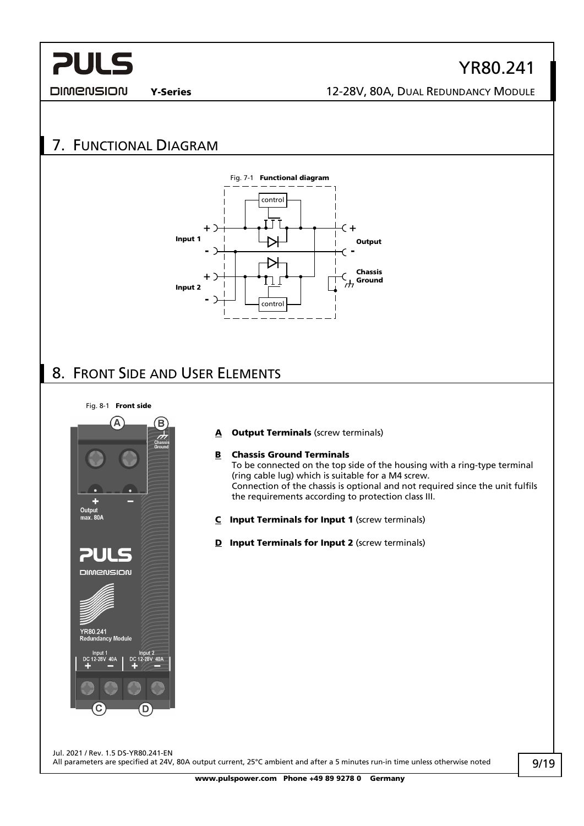**DIMENSION** 

## Y-Series 12-28V, 80A, DUAL REDUNDANCY MODULE

YR80.241

## <span id="page-8-0"></span>7. FUNCTIONAL DIAGRAM



## <span id="page-8-1"></span>8. FRONT SIDE AND USER ELEMENTS

Fig. 8-1 Front side



#### A Output Terminals (screw terminals)

#### B Chassis Ground Terminals

To be connected on the top side of the housing with a ring-type terminal (ring cable lug) which is suitable for a M4 screw. Connection of the chassis is optional and not required since the unit fulfils the requirements according to protection class III.

- C Input Terminals for Input 1 (screw terminals)
- D Input Terminals for Input 2 (screw terminals)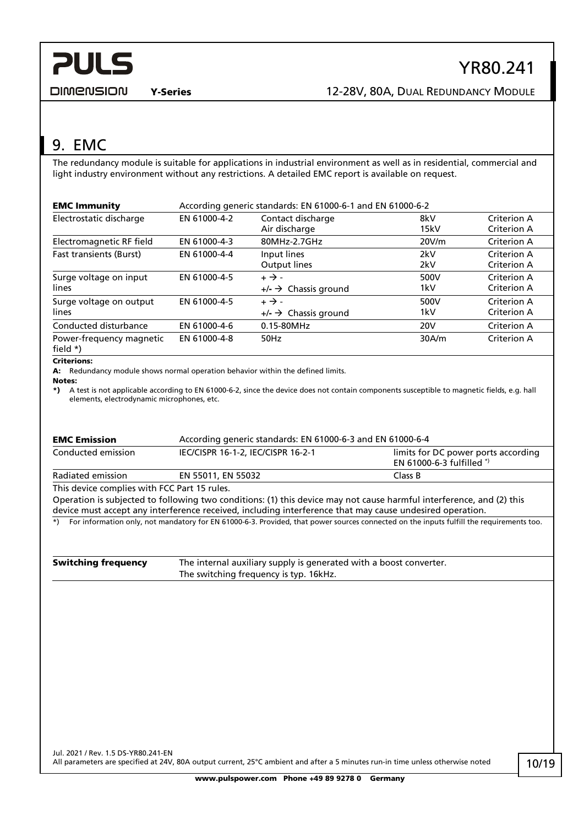#### **DIMENSION**

Y-Series 12-28V, 80A, DUAL REDUNDANCY MODULE

## <span id="page-9-0"></span>9. EMC

The redundancy module is suitable for applications in industrial environment as well as in residential, commercial and light industry environment without any restrictions. A detailed EMC report is available on request.

| <b>EMC Immunity</b>                     | According generic standards: EN 61000-6-1 and EN 61000-6-2 |                              |                 |                    |
|-----------------------------------------|------------------------------------------------------------|------------------------------|-----------------|--------------------|
| Electrostatic discharge                 | EN 61000-4-2                                               | Contact discharge            | 8kV             | Criterion A        |
|                                         |                                                            | Air discharge                | 15kV            | Criterion A        |
| Electromagnetic RF field                | EN 61000-4-3                                               | 80MHz-2.7GHz                 | 20V/m           | Criterion A        |
| <b>Fast transients (Burst)</b>          | EN 61000-4-4                                               | Input lines                  | 2kV             | Criterion A        |
|                                         |                                                            | Output lines                 | 2kV             | Criterion A        |
| Surge voltage on input                  | EN 61000-4-5                                               | $+ \rightarrow -$            | 500V            | Criterion A        |
| lines                                   |                                                            | $\rightarrow$ Chassis ground | 1kV             | Criterion A        |
| Surge voltage on output                 | EN 61000-4-5                                               | $+ \rightarrow -$            | 500V            | Criterion A        |
| lines                                   |                                                            | $\rightarrow$ Chassis ground | 1kV             | Criterion A        |
| Conducted disturbance                   | EN 61000-4-6                                               | 0.15-80MHz                   | 20 <sub>V</sub> | <b>Criterion A</b> |
| Power-frequency magnetic<br>field $*$ ) | EN 61000-4-8                                               | 50Hz                         | 30A/m           | Criterion A        |

#### Criterions:

A: Redundancy module shows normal operation behavior within the defined limits.

```
Notes:
```
\*) A test is not applicable according to EN 61000-6-2, since the device does not contain components susceptible to magnetic fields, e.g. hall elements, electrodynamic microphones, etc.

| <b>EMC Emission</b>                          | According generic standards: EN 61000-6-3 and EN 61000-6-4                                                                                                                                                                       |                                                                                                                                          |
|----------------------------------------------|----------------------------------------------------------------------------------------------------------------------------------------------------------------------------------------------------------------------------------|------------------------------------------------------------------------------------------------------------------------------------------|
| Conducted emission                           | IEC/CISPR 16-1-2, IEC/CISPR 16-2-1                                                                                                                                                                                               | limits for DC power ports according<br>EN 61000-6-3 fulfilled *)                                                                         |
| Radiated emission                            | EN 55011, EN 55032                                                                                                                                                                                                               | Class B                                                                                                                                  |
| This device complies with FCC Part 15 rules. |                                                                                                                                                                                                                                  |                                                                                                                                          |
|                                              | Operation is subjected to following two conditions: (1) this device may not cause harmful interference, and (2) this<br>device must accept any interference received, including interference that may cause undesired operation. |                                                                                                                                          |
| $^{*}$                                       |                                                                                                                                                                                                                                  | For information only, not mandatory for EN 61000-6-3. Provided, that power sources connected on the inputs fulfill the requirements too. |

| <b>Switching frequency</b> | The internal auxiliary supply is generated with a boost converter. |
|----------------------------|--------------------------------------------------------------------|
|                            | The switching frequency is typ. 16kHz.                             |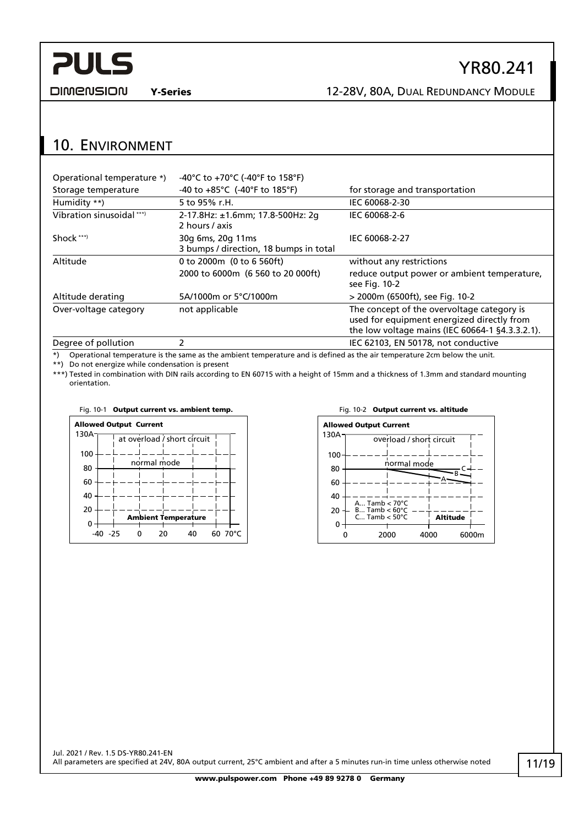**DIMENSION** 

## Y-Series 12-28V, 80A, DUAL REDUNDANCY MODULE

## <span id="page-10-0"></span>10. ENVIRONMENT

| Operational temperature *) | -40°C to +70°C (-40°F to 158°F)                             |                                                                                                                                             |
|----------------------------|-------------------------------------------------------------|---------------------------------------------------------------------------------------------------------------------------------------------|
| Storage temperature        | -40 to $+85^{\circ}$ C (-40°F to 185°F)                     | for storage and transportation                                                                                                              |
| Humidity **)               | 5 to 95% r.H.                                               | IEC 60068-2-30                                                                                                                              |
| Vibration sinusoidal ***)  | 2-17.8Hz: ±1.6mm; 17.8-500Hz: 2q<br>2 hours / axis          | IEC 60068-2-6                                                                                                                               |
| Shock ***)                 | 30g 6ms, 20g 11ms<br>3 bumps / direction, 18 bumps in total | IEC 60068-2-27                                                                                                                              |
| Altitude                   | 0 to 2000m (0 to 6 560ft)                                   | without any restrictions                                                                                                                    |
|                            | 2000 to 6000m (6 560 to 20 000ft)                           | reduce output power or ambient temperature,<br>see Fig. 10-2                                                                                |
| Altitude derating          | 5A/1000m or 5°C/1000m                                       | > 2000m (6500ft), see Fig. 10-2                                                                                                             |
| Over-voltage category      | not applicable                                              | The concept of the overvoltage category is<br>used for equipment energized directly from<br>the low voltage mains (IEC 60664-1 §4.3.3.2.1). |
| Degree of pollution        | 2                                                           | IEC 62103, EN 50178, not conductive                                                                                                         |

\*) Operational temperature is the same as the ambient temperature and is defined as the air temperature 2cm below the unit.

\*\*) Do not energize while condensation is present

\*\*\*) Tested in combination with DIN rails according to EN 60715 with a height of 15mm and a thickness of 1.3mm and standard mounting orientation.



<span id="page-10-1"></span>

## YR80.241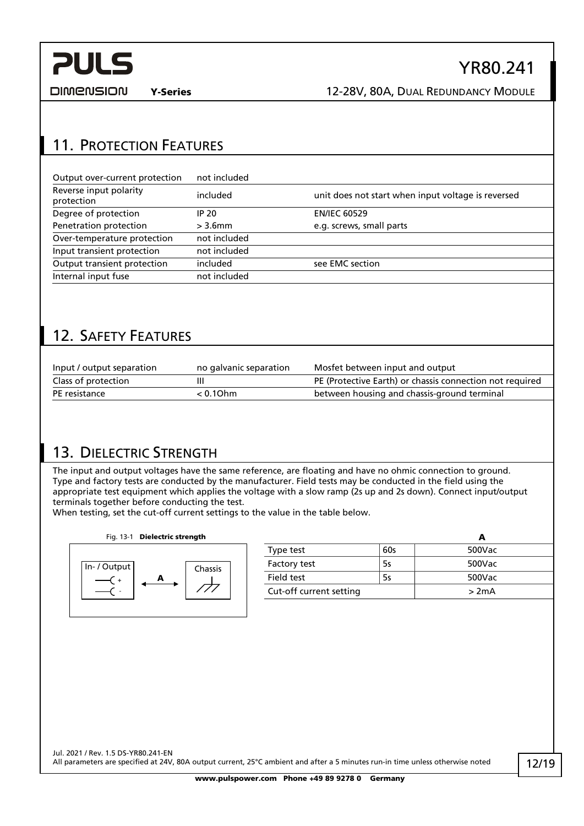DIMENSION

Y-Series 12-28V, 80A, DUAL REDUNDANCY MODULE

YR80.241

## <span id="page-11-0"></span>11. PROTECTION FEATURES

| Output over-current protection       | not included |                                                    |
|--------------------------------------|--------------|----------------------------------------------------|
| Reverse input polarity<br>protection | included     | unit does not start when input voltage is reversed |
| Degree of protection                 | IP 20        | <b>EN/IEC 60529</b>                                |
| Penetration protection               | $>$ 3.6 $mm$ | e.g. screws, small parts                           |
| Over-temperature protection          | not included |                                                    |
| Input transient protection           | not included |                                                    |
| Output transient protection          | included     | see EMC section                                    |
| Internal input fuse                  | not included |                                                    |
|                                      |              |                                                    |

## <span id="page-11-1"></span>12. SAFETY FEATURES

| Input / output separation | no galvanic separation | Mosfet between input and output                          |
|---------------------------|------------------------|----------------------------------------------------------|
| Class of protection       |                        | PE (Protective Earth) or chassis connection not required |
| PE resistance             | < 0.10hm               | between housing and chassis-ground terminal              |

## <span id="page-11-2"></span>13. DIELECTRIC STRENGTH

The input and output voltages have the same reference, are floating and have no ohmic connection to ground. Type and factory tests are conducted by the manufacturer. Field tests may be conducted in the field using the appropriate test equipment which applies the voltage with a slow ramp (2s up and 2s down). Connect input/output terminals together before conducting the test.

When testing, set the cut-off current settings to the value in the table below.

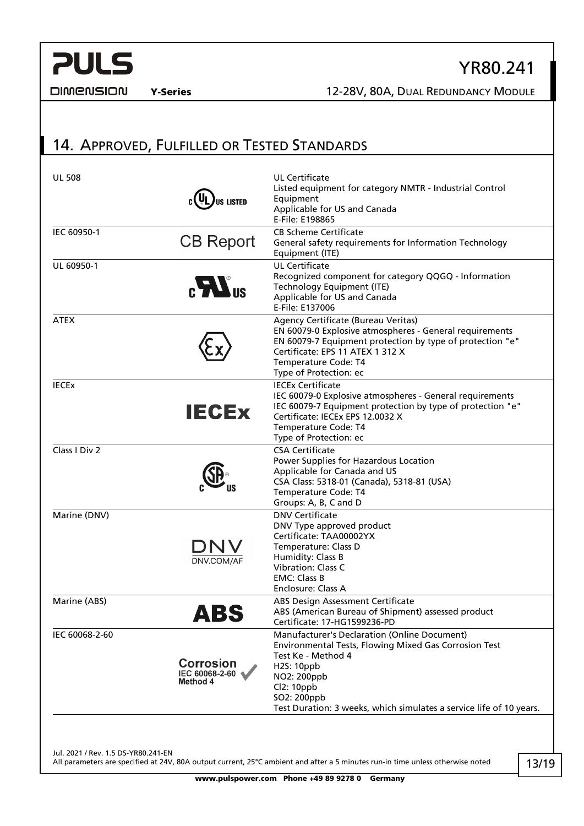#### **DIMENSION**

### Y-Series 12-28V, 80A, DUAL REDUNDANCY MODULE

YR80.241

## <span id="page-12-0"></span>14. APPROVED, FULFILLED OR TESTED STANDARDS

| <b>UL 508</b>  | US LISTED                                      | <b>UL Certificate</b><br>Listed equipment for category NMTR - Industrial Control<br>Equipment<br>Applicable for US and Canada<br>E-File: E198865                                                                                                             |
|----------------|------------------------------------------------|--------------------------------------------------------------------------------------------------------------------------------------------------------------------------------------------------------------------------------------------------------------|
| IEC 60950-1    | <b>CB Report</b>                               | <b>CB Scheme Certificate</b><br>General safety requirements for Information Technology<br>Equipment (ITE)                                                                                                                                                    |
| UL 60950-1     | $\mathbf{c}$ $\mathbf{H}$ <sup>us</sup>        | <b>UL Certificate</b><br>Recognized component for category QQGQ - Information<br>Technology Equipment (ITE)<br>Applicable for US and Canada<br>E-File: E137006                                                                                               |
| <b>ATEX</b>    |                                                | Agency Certificate (Bureau Veritas)<br>EN 60079-0 Explosive atmospheres - General requirements<br>EN 60079-7 Equipment protection by type of protection "e"<br>Certificate: EPS 11 ATEX 1 312 X<br>Temperature Code: T4<br>Type of Protection: ec            |
| <b>IECEX</b>   | <b>IECEX</b>                                   | <b>IECEx Certificate</b><br>IEC 60079-0 Explosive atmospheres - General requirements<br>IEC 60079-7 Equipment protection by type of protection "e"<br>Certificate: IECEx EPS 12.0032 X<br>Temperature Code: T4<br>Type of Protection: ec                     |
| Class I Div 2  |                                                | <b>CSA Certificate</b><br>Power Supplies for Hazardous Location<br>Applicable for Canada and US<br>CSA Class: 5318-01 (Canada), 5318-81 (USA)<br>Temperature Code: T4<br>Groups: A, B, C and D                                                               |
| Marine (DNV)   | DN<br><b>DNV.COM/AF</b>                        | <b>DNV Certificate</b><br>DNV Type approved product<br>Certificate: TAA00002YX<br>Temperature: Class D<br>Humidity: Class B<br><b>Vibration: Class C</b><br><b>EMC: Class B</b><br>Enclosure: Class A                                                        |
| Marine (ABS)   | ABS                                            | ABS Design Assessment Certificate<br>ABS (American Bureau of Shipment) assessed product<br>Certificate: 17-HG1599236-PD                                                                                                                                      |
| IEC 60068-2-60 | <b>Corrosion</b><br>IEC 60068-2-60<br>Method 4 | Manufacturer's Declaration (Online Document)<br>Environmental Tests, Flowing Mixed Gas Corrosion Test<br>Test Ke - Method 4<br>H2S: 10ppb<br>NO2: 200ppb<br>Cl2: 10ppb<br>SO2: 200ppb<br>Test Duration: 3 weeks, which simulates a service life of 10 years. |

Jul. 2021 / Rev. 1.5 DS-YR80.241-EN All parameters are specified at 24V, 80A output current, 25°C ambient and after a 5 minutes run-in time unless otherwise noted

13/19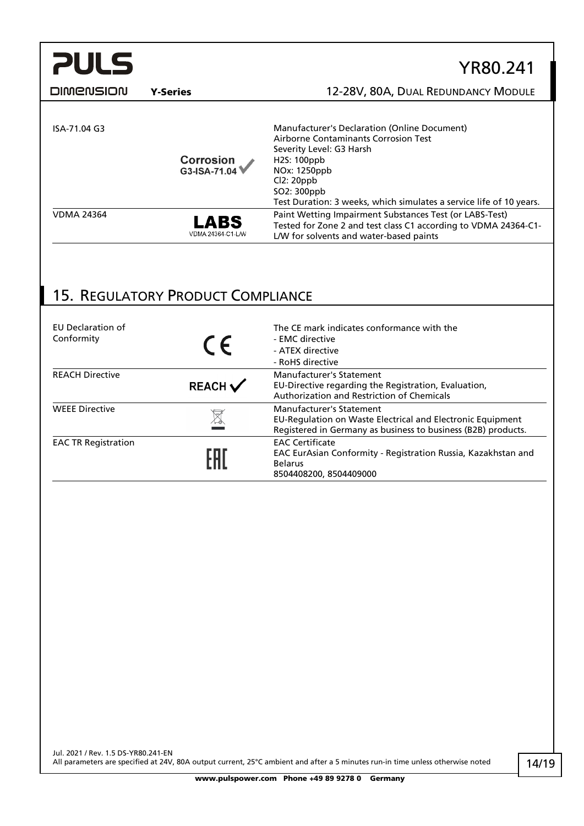| <b>PULS</b>      |                           | YR80.241                                                                                                                                                                                                                                           |
|------------------|---------------------------|----------------------------------------------------------------------------------------------------------------------------------------------------------------------------------------------------------------------------------------------------|
| <b>DIMENSION</b> | <b>Y-Series</b>           | 12-28V, 80A, DUAL REDUNDANCY MODULE                                                                                                                                                                                                                |
| ISA-71.04 G3     | Corrosion<br>G3-ISA-71.04 | Manufacturer's Declaration (Online Document)<br>Airborne Contaminants Corrosion Test<br>Severity Level: G3 Harsh<br>H2S: 100ppb<br>NOx: 1250ppb<br>Cl2:20ppb<br>SO2: 300ppb<br>Test Duration: 3 weeks, which simulates a service life of 10 years. |

Tested for Zone 2 and test class C1 according to VDMA 24364-C1-

L/W for solvents and water-based paints

VDMA 24364<br> **LABS** Paint Wetting Impairment Substances Test (or LABS-Test)<br>
Tested for Zone 2 and test class C1 according to VDMA 24

## <span id="page-13-0"></span>15. REGULATORY PRODUCT COMPLIANCE

VDMA 24364-C1-L/W

| EU Declaration of<br>Conformity | $\epsilon$         | The CE mark indicates conformance with the<br>- EMC directive<br>- ATEX directive<br>- RoHS directive                                                   |
|---------------------------------|--------------------|---------------------------------------------------------------------------------------------------------------------------------------------------------|
| <b>REACH Directive</b>          | REACH $\checkmark$ | Manufacturer's Statement<br>EU-Directive regarding the Registration, Evaluation,<br>Authorization and Restriction of Chemicals                          |
| <b>WEEE Directive</b>           |                    | Manufacturer's Statement<br>EU-Regulation on Waste Electrical and Electronic Equipment<br>Registered in Germany as business to business (B2B) products. |
| <b>EAC TR Registration</b>      | £HI                | <b>EAC Certificate</b><br>EAC EurAsian Conformity - Registration Russia, Kazakhstan and<br><b>Belarus</b><br>8504408200, 8504409000                     |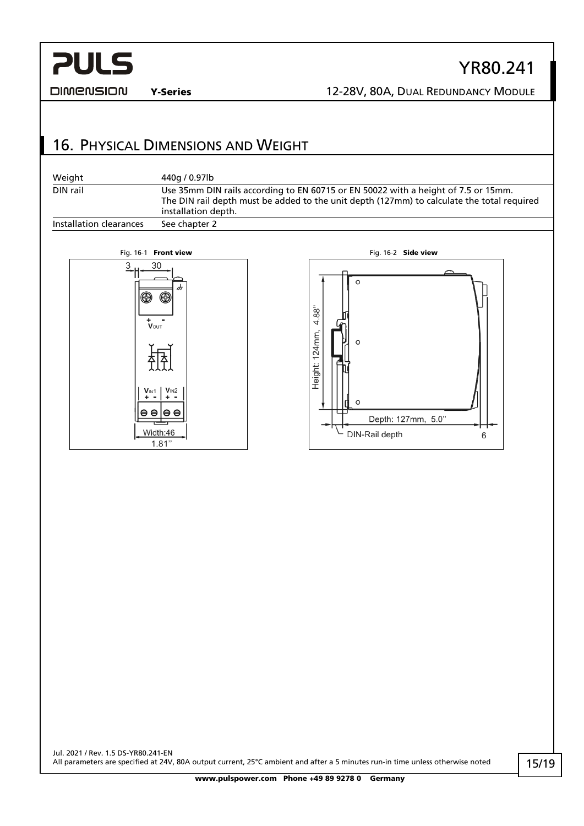#### **DIMENSION**

Y-Series 12-28V, 80A, DUAL REDUNDANCY MODULE

YR80.241

## <span id="page-14-0"></span>16. PHYSICAL DIMENSIONS AND WEIGHT





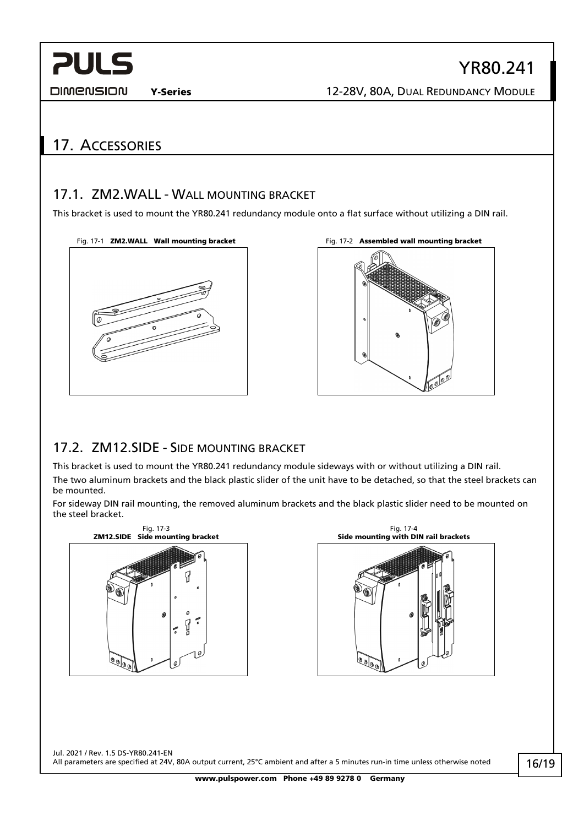**DIMENSION** 

YR80.241

## <span id="page-15-0"></span>17. ACCESSORIES

### <span id="page-15-1"></span>17.1. ZM2.WALL - WALL MOUNTING BRACKET

This bracket is used to mount the YR80.241 redundancy module onto a flat surface without utilizing a DIN rail.







## <span id="page-15-2"></span>17.2. ZM12.SIDE - SIDE MOUNTING BRACKET

This bracket is used to mount the YR80.241 redundancy module sideways with or without utilizing a DIN rail. The two aluminum brackets and the black plastic slider of the unit have to be detached, so that the steel brackets can be mounted.

For sideway DIN rail mounting, the removed aluminum brackets and the black plastic slider need to be mounted on the steel bracket.

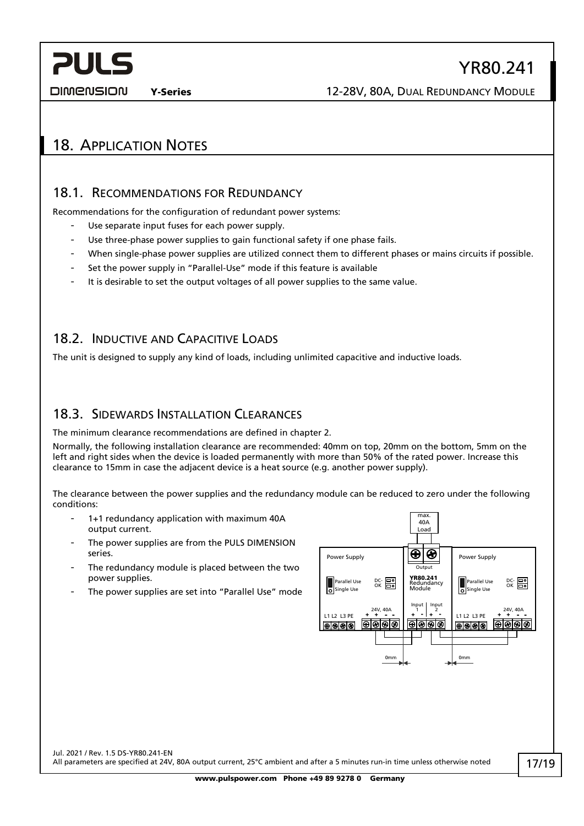## YR80.241

DIMENSION

**PULS** 

## <span id="page-16-1"></span><span id="page-16-0"></span>18. APPLICATION NOTES

### 18.1. RECOMMENDATIONS FOR REDUNDANCY

Recommendations for the configuration of redundant power systems:

- Use separate input fuses for each power supply.
- Use three-phase power supplies to gain functional safety if one phase fails.
- When single-phase power supplies are utilized connect them to different phases or mains circuits if possible.
- Set the power supply in "Parallel-Use" mode if this feature is available
- It is desirable to set the output voltages of all power supplies to the same value.

### <span id="page-16-2"></span>18.2. INDUCTIVE AND CAPACITIVE LOADS

<span id="page-16-3"></span>The unit is designed to supply any kind of loads, including unlimited capacitive and inductive loads.

### 18.3. SIDEWARDS INSTALLATION CLEARANCES

The minimum clearance recommendations are defined in chapter [2.](#page-2-1)

Normally, the following installation clearance are recommended: 40mm on top, 20mm on the bottom, 5mm on the left and right sides when the device is loaded permanently with more than 50% of the rated power. Increase this clearance to 15mm in case the adjacent device is a heat source (e.g. another power supply).

The clearance between the power supplies and the redundancy module can be reduced to zero under the following conditions:

- 1+1 redundancy application with maximum 40A output current.
- The power supplies are from the PULS DIMENSION series.
- The redundancy module is placed between the two power supplies.
- The power supplies are set into "Parallel Use" mode



Jul. 2021 / Rev. 1.5 DS-YR80.241-EN All parameters are specified at 24V, 80A output current, 25°C ambient and after a 5 minutes run-in time unless otherwise noted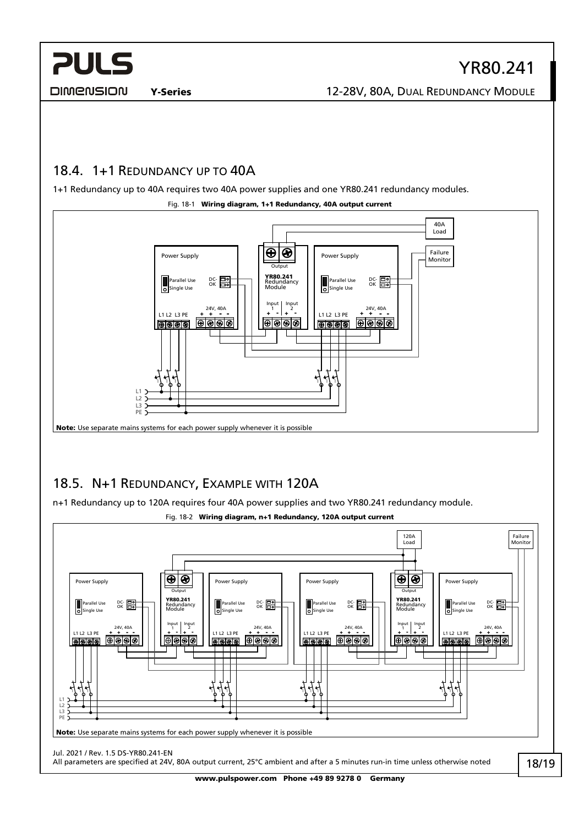DIMENSION

Y-Series 12-28V, 80A, DUAL REDUNDANCY MODULE

### <span id="page-17-0"></span>18.4. 1+1 REDUNDANCY UP TO 40A

1+1 Redundancy up to 40A requires two 40A power supplies and one YR80.241 redundancy modules.



#### Fig. 18-1 Wiring diagram, 1+1 Redundancy, 40A output current

## <span id="page-17-1"></span>18.5. N+1 REDUNDANCY, EXAMPLE WITH 120A

n+1 Redundancy up to 120A requires four 40A power supplies and two YR80.241 redundancy module.



Fig. 18-2 Wiring diagram, n+1 Redundancy, 120A output current